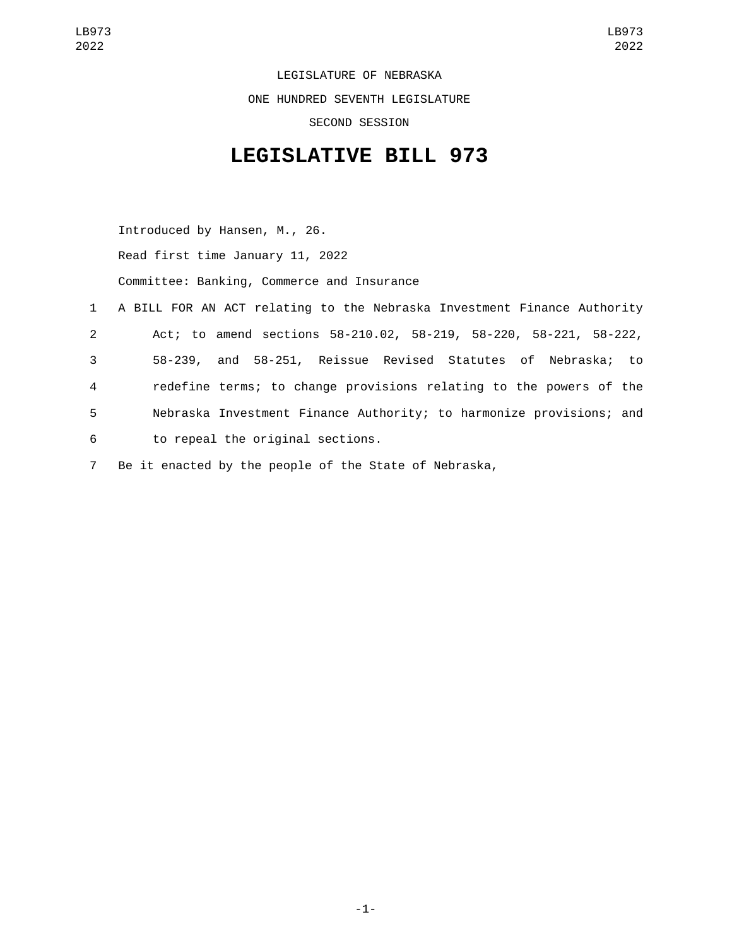LEGISLATURE OF NEBRASKA ONE HUNDRED SEVENTH LEGISLATURE SECOND SESSION

## **LEGISLATIVE BILL 973**

Introduced by Hansen, M., 26.

Read first time January 11, 2022

Committee: Banking, Commerce and Insurance

- 1 A BILL FOR AN ACT relating to the Nebraska Investment Finance Authority 2 Act; to amend sections 58-210.02, 58-219, 58-220, 58-221, 58-222, 3 58-239, and 58-251, Reissue Revised Statutes of Nebraska; to 4 redefine terms; to change provisions relating to the powers of the 5 Nebraska Investment Finance Authority; to harmonize provisions; and to repeal the original sections.6
- 7 Be it enacted by the people of the State of Nebraska,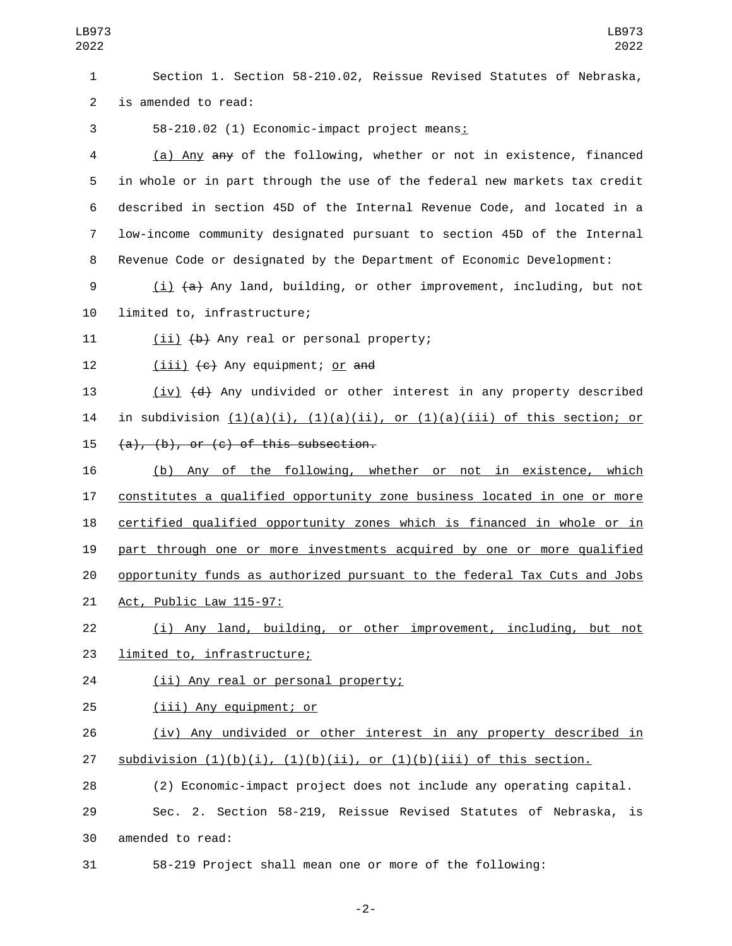1 Section 1. Section 58-210.02, Reissue Revised Statutes of Nebraska, 2 is amended to read:

58-210.02 (1) Economic-impact project means:3

 (a) Any any of the following, whether or not in existence, financed in whole or in part through the use of the federal new markets tax credit described in section 45D of the Internal Revenue Code, and located in a low-income community designated pursuant to section 45D of the Internal Revenue Code or designated by the Department of Economic Development:

9 (i) (a) Any land, building, or other improvement, including, but not 10 limited to, infrastructure;

11  $(ii)$   $(b)$  Any real or personal property;

12 (iii) (c) Any equipment; <u>or</u> and

13 (iv) (d) Any undivided or other interest in any property described 14 in subdivision  $(1)(a)(i)$ ,  $(1)(a)(ii)$ , or  $(1)(a)(iii)$  of this section; or  $(4)$ ,  $(b)$ , or  $(c)$  of this subsection.

 (b) Any of the following, whether or not in existence, which constitutes a qualified opportunity zone business located in one or more certified qualified opportunity zones which is financed in whole or in part through one or more investments acquired by one or more qualified opportunity funds as authorized pursuant to the federal Tax Cuts and Jobs 21 Act, Public Law 115-97:

22 (i) Any land, building, or other improvement, including, but not 23 limited to, infrastructure;

24 (ii) Any real or personal property;

25 (iii) Any equipment; or

26 (iv) Any undivided or other interest in any property described in 27 subdivision  $(1)(b)(i)$ ,  $(1)(b)(ii)$ , or  $(1)(b)(iii)$  of this section.

28 (2) Economic-impact project does not include any operating capital.

29 Sec. 2. Section 58-219, Reissue Revised Statutes of Nebraska, is 30 amended to read:

31 58-219 Project shall mean one or more of the following:

-2-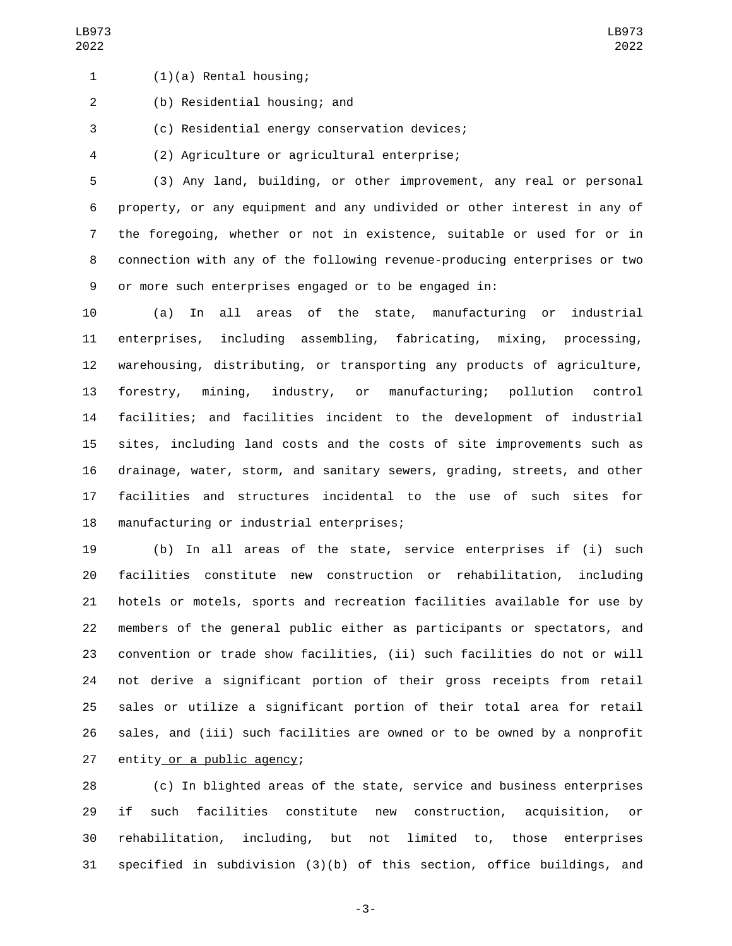(1)(a) Rental housing;1

(b) Residential housing; and2

3 (c) Residential energy conservation devices;

(2) Agriculture or agricultural enterprise;4

 (3) Any land, building, or other improvement, any real or personal property, or any equipment and any undivided or other interest in any of the foregoing, whether or not in existence, suitable or used for or in connection with any of the following revenue-producing enterprises or two or more such enterprises engaged or to be engaged in:

 (a) In all areas of the state, manufacturing or industrial enterprises, including assembling, fabricating, mixing, processing, warehousing, distributing, or transporting any products of agriculture, forestry, mining, industry, or manufacturing; pollution control facilities; and facilities incident to the development of industrial sites, including land costs and the costs of site improvements such as drainage, water, storm, and sanitary sewers, grading, streets, and other facilities and structures incidental to the use of such sites for 18 manufacturing or industrial enterprises;

 (b) In all areas of the state, service enterprises if (i) such facilities constitute new construction or rehabilitation, including hotels or motels, sports and recreation facilities available for use by members of the general public either as participants or spectators, and convention or trade show facilities, (ii) such facilities do not or will not derive a significant portion of their gross receipts from retail sales or utilize a significant portion of their total area for retail sales, and (iii) such facilities are owned or to be owned by a nonprofit 27 entity or a public agency;

 (c) In blighted areas of the state, service and business enterprises if such facilities constitute new construction, acquisition, or rehabilitation, including, but not limited to, those enterprises specified in subdivision (3)(b) of this section, office buildings, and

-3-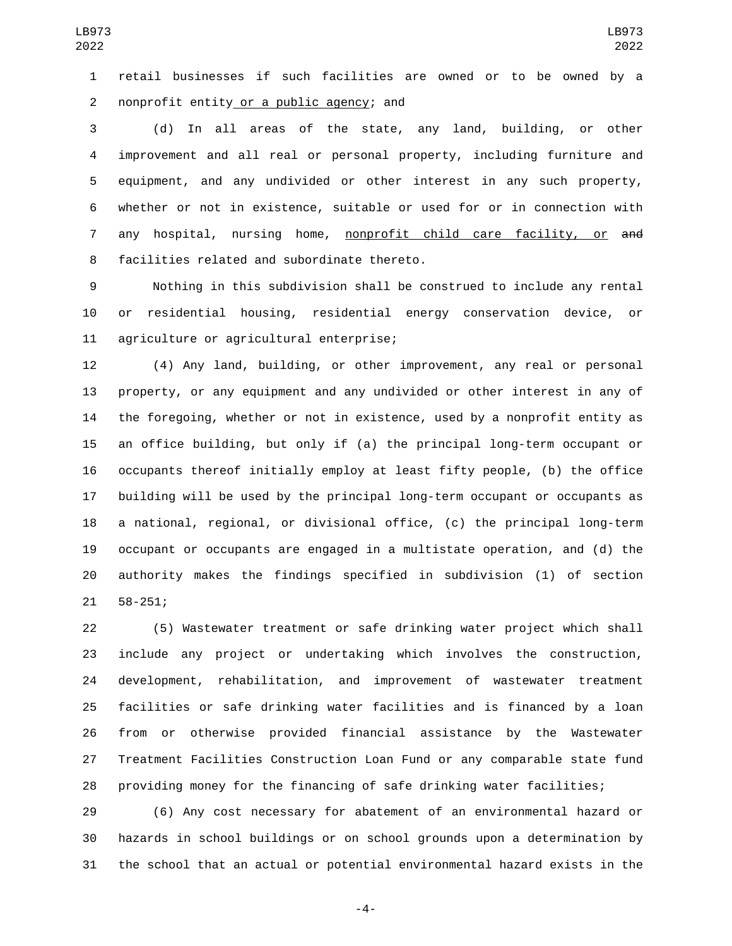retail businesses if such facilities are owned or to be owned by a nonprofit entity or a public agency; and2

 (d) In all areas of the state, any land, building, or other improvement and all real or personal property, including furniture and equipment, and any undivided or other interest in any such property, whether or not in existence, suitable or used for or in connection with 7 any hospital, nursing home, nonprofit child care facility, or and 8 facilities related and subordinate thereto.

 Nothing in this subdivision shall be construed to include any rental or residential housing, residential energy conservation device, or 11 agriculture or agricultural enterprise;

 (4) Any land, building, or other improvement, any real or personal property, or any equipment and any undivided or other interest in any of the foregoing, whether or not in existence, used by a nonprofit entity as an office building, but only if (a) the principal long-term occupant or occupants thereof initially employ at least fifty people, (b) the office building will be used by the principal long-term occupant or occupants as a national, regional, or divisional office, (c) the principal long-term occupant or occupants are engaged in a multistate operation, and (d) the authority makes the findings specified in subdivision (1) of section 21 58-251;

 (5) Wastewater treatment or safe drinking water project which shall include any project or undertaking which involves the construction, development, rehabilitation, and improvement of wastewater treatment facilities or safe drinking water facilities and is financed by a loan from or otherwise provided financial assistance by the Wastewater Treatment Facilities Construction Loan Fund or any comparable state fund providing money for the financing of safe drinking water facilities;

 (6) Any cost necessary for abatement of an environmental hazard or hazards in school buildings or on school grounds upon a determination by the school that an actual or potential environmental hazard exists in the

-4-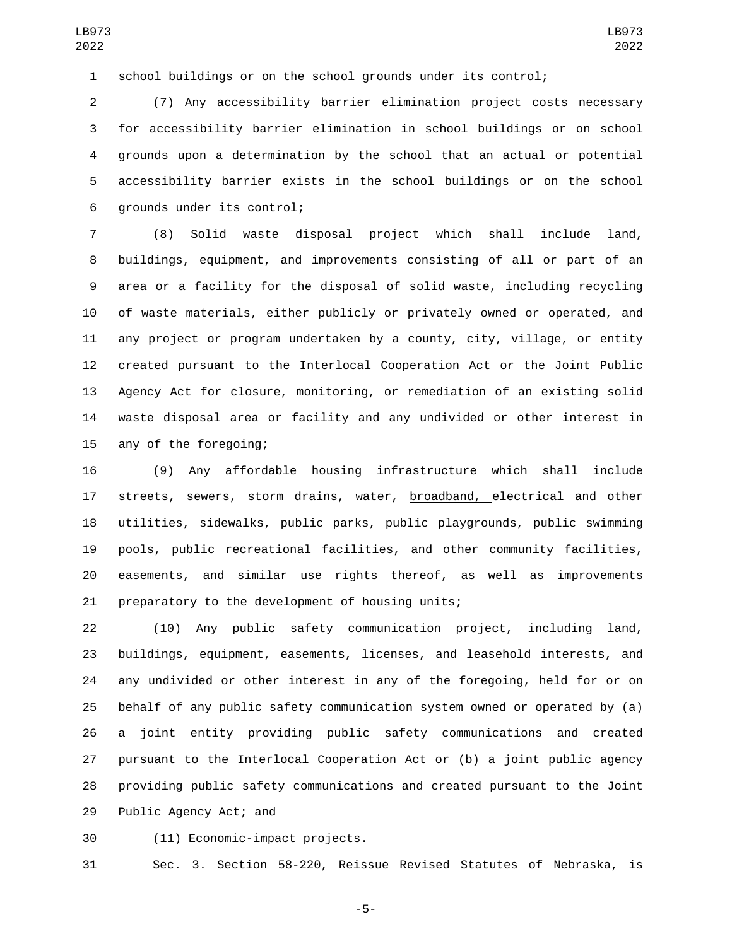school buildings or on the school grounds under its control;

 (7) Any accessibility barrier elimination project costs necessary for accessibility barrier elimination in school buildings or on school grounds upon a determination by the school that an actual or potential accessibility barrier exists in the school buildings or on the school 6 grounds under its control;

 (8) Solid waste disposal project which shall include land, buildings, equipment, and improvements consisting of all or part of an area or a facility for the disposal of solid waste, including recycling of waste materials, either publicly or privately owned or operated, and any project or program undertaken by a county, city, village, or entity created pursuant to the Interlocal Cooperation Act or the Joint Public Agency Act for closure, monitoring, or remediation of an existing solid waste disposal area or facility and any undivided or other interest in 15 any of the foregoing;

 (9) Any affordable housing infrastructure which shall include 17 streets, sewers, storm drains, water, broadband, electrical and other utilities, sidewalks, public parks, public playgrounds, public swimming pools, public recreational facilities, and other community facilities, easements, and similar use rights thereof, as well as improvements 21 preparatory to the development of housing units;

 (10) Any public safety communication project, including land, buildings, equipment, easements, licenses, and leasehold interests, and any undivided or other interest in any of the foregoing, held for or on behalf of any public safety communication system owned or operated by (a) a joint entity providing public safety communications and created pursuant to the Interlocal Cooperation Act or (b) a joint public agency providing public safety communications and created pursuant to the Joint 29 Public Agency Act; and

(11) Economic-impact projects.30

Sec. 3. Section 58-220, Reissue Revised Statutes of Nebraska, is

-5-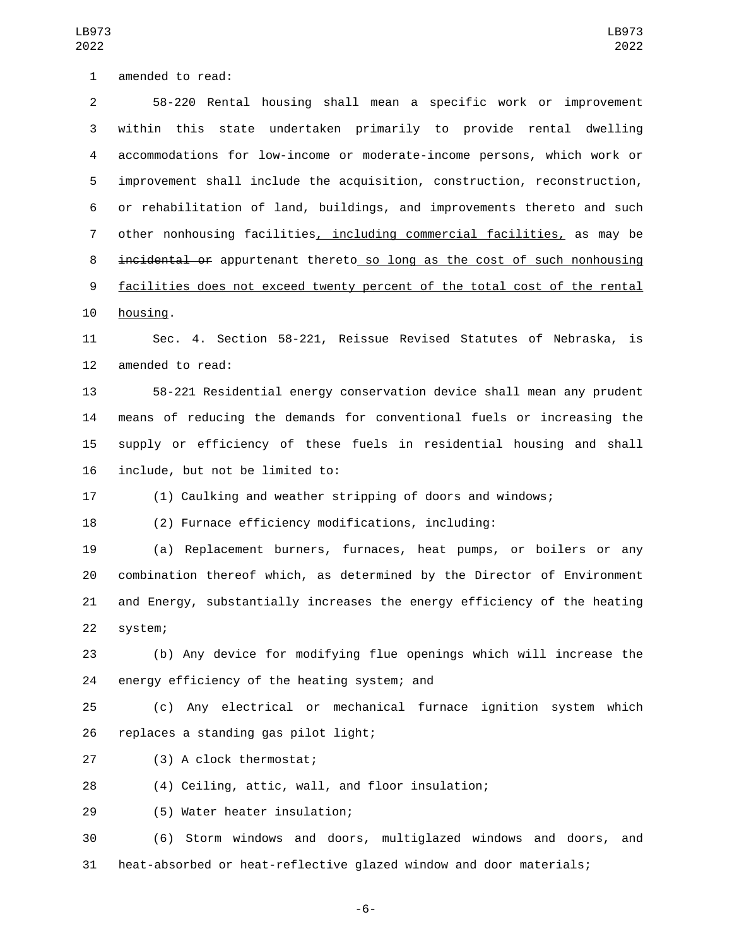1 amended to read:

 58-220 Rental housing shall mean a specific work or improvement within this state undertaken primarily to provide rental dwelling accommodations for low-income or moderate-income persons, which work or improvement shall include the acquisition, construction, reconstruction, or rehabilitation of land, buildings, and improvements thereto and such other nonhousing facilities, including commercial facilities, as may be incidental or appurtenant thereto so long as the cost of such nonhousing facilities does not exceed twenty percent of the total cost of the rental 10 housing.

 Sec. 4. Section 58-221, Reissue Revised Statutes of Nebraska, is 12 amended to read:

 58-221 Residential energy conservation device shall mean any prudent means of reducing the demands for conventional fuels or increasing the supply or efficiency of these fuels in residential housing and shall 16 include, but not be limited to:

(1) Caulking and weather stripping of doors and windows;

(2) Furnace efficiency modifications, including:

 (a) Replacement burners, furnaces, heat pumps, or boilers or any combination thereof which, as determined by the Director of Environment and Energy, substantially increases the energy efficiency of the heating 22 system;

 (b) Any device for modifying flue openings which will increase the 24 energy efficiency of the heating system; and

 (c) Any electrical or mechanical furnace ignition system which 26 replaces a standing gas pilot light;

(3) A clock thermostat;27

(4) Ceiling, attic, wall, and floor insulation;

(5) Water heater insulation;29

 (6) Storm windows and doors, multiglazed windows and doors, and heat-absorbed or heat-reflective glazed window and door materials;

-6-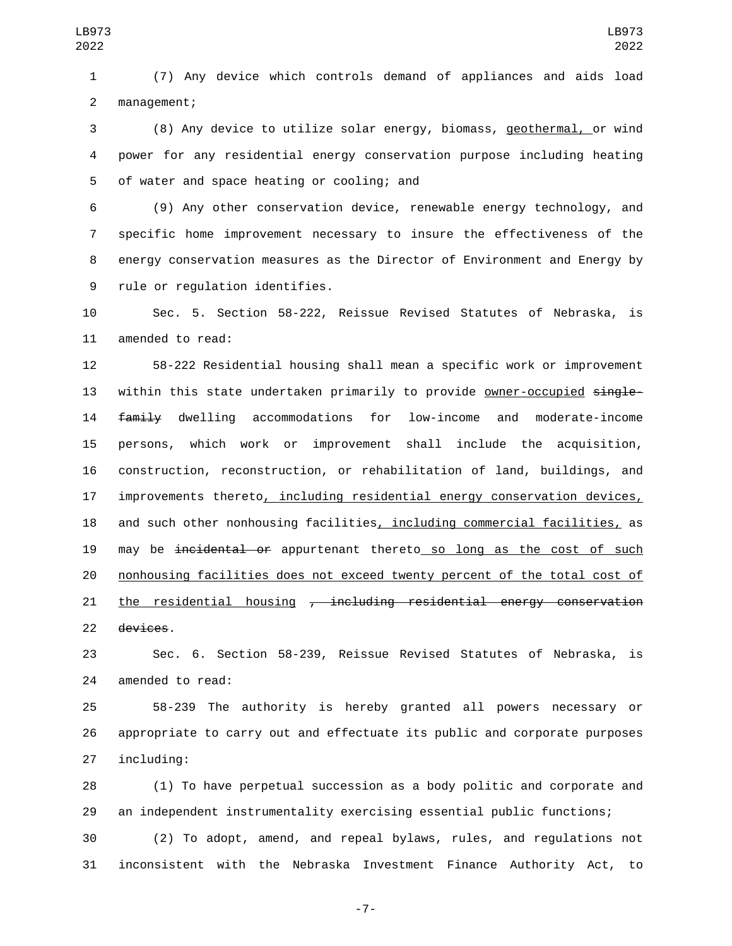(7) Any device which controls demand of appliances and aids load 2 management;

 (8) Any device to utilize solar energy, biomass, geothermal, or wind power for any residential energy conservation purpose including heating 5 of water and space heating or cooling; and

 (9) Any other conservation device, renewable energy technology, and specific home improvement necessary to insure the effectiveness of the energy conservation measures as the Director of Environment and Energy by 9 rule or regulation identifies.

 Sec. 5. Section 58-222, Reissue Revised Statutes of Nebraska, is 11 amended to read:

 58-222 Residential housing shall mean a specific work or improvement 13 within this state undertaken primarily to provide owner-occupied single- family dwelling accommodations for low-income and moderate-income persons, which work or improvement shall include the acquisition, construction, reconstruction, or rehabilitation of land, buildings, and 17 improvements thereto, including residential energy conservation devices, and such other nonhousing facilities, including commercial facilities, as 19 may be incidental or appurtenant thereto so long as the cost of such nonhousing facilities does not exceed twenty percent of the total cost of 21 the residential housing <del>, including residential energy conservation</del> devices.

 Sec. 6. Section 58-239, Reissue Revised Statutes of Nebraska, is 24 amended to read:

 58-239 The authority is hereby granted all powers necessary or appropriate to carry out and effectuate its public and corporate purposes 27 including:

 (1) To have perpetual succession as a body politic and corporate and an independent instrumentality exercising essential public functions;

 (2) To adopt, amend, and repeal bylaws, rules, and regulations not inconsistent with the Nebraska Investment Finance Authority Act, to

-7-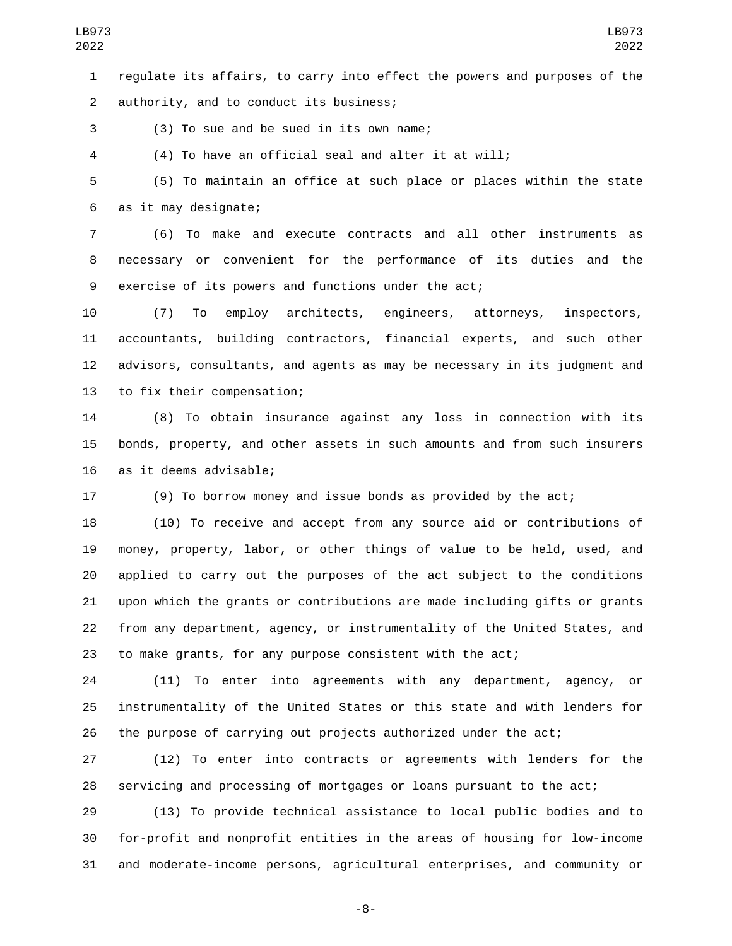regulate its affairs, to carry into effect the powers and purposes of the authority, and to conduct its business;2

(3) To sue and be sued in its own name;3

(4) To have an official seal and alter it at will;

 (5) To maintain an office at such place or places within the state as it may designate;6

 (6) To make and execute contracts and all other instruments as necessary or convenient for the performance of its duties and the exercise of its powers and functions under the act;

 (7) To employ architects, engineers, attorneys, inspectors, accountants, building contractors, financial experts, and such other advisors, consultants, and agents as may be necessary in its judgment and 13 to fix their compensation;

 (8) To obtain insurance against any loss in connection with its bonds, property, and other assets in such amounts and from such insurers 16 as it deems advisable;

(9) To borrow money and issue bonds as provided by the act;

 (10) To receive and accept from any source aid or contributions of money, property, labor, or other things of value to be held, used, and applied to carry out the purposes of the act subject to the conditions upon which the grants or contributions are made including gifts or grants from any department, agency, or instrumentality of the United States, and to make grants, for any purpose consistent with the act;

 (11) To enter into agreements with any department, agency, or instrumentality of the United States or this state and with lenders for the purpose of carrying out projects authorized under the act;

 (12) To enter into contracts or agreements with lenders for the servicing and processing of mortgages or loans pursuant to the act;

 (13) To provide technical assistance to local public bodies and to for-profit and nonprofit entities in the areas of housing for low-income and moderate-income persons, agricultural enterprises, and community or

-8-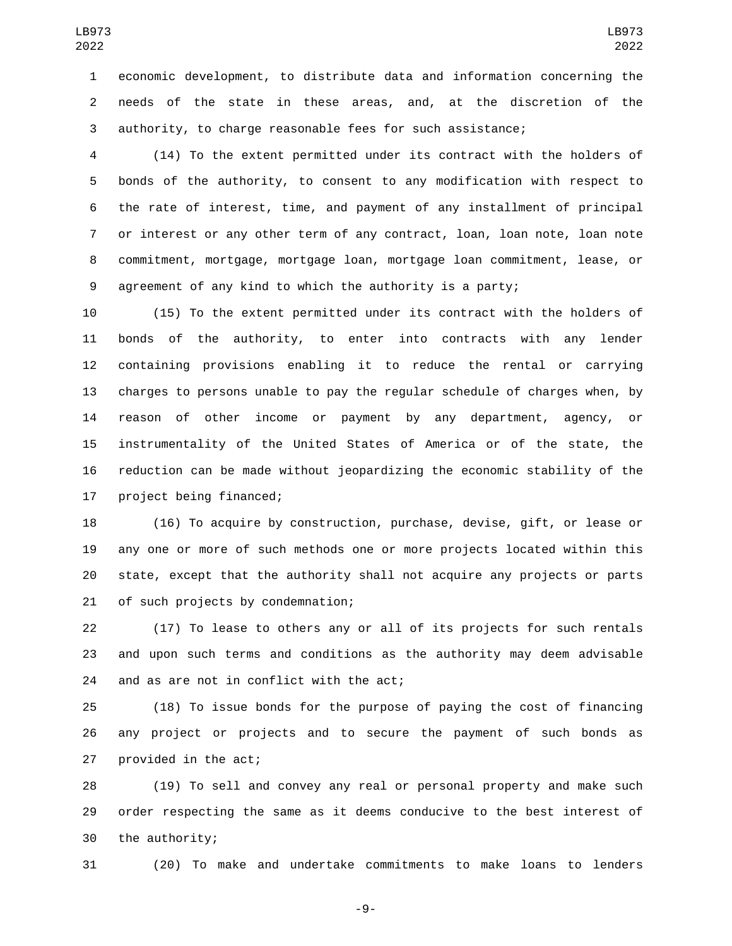economic development, to distribute data and information concerning the needs of the state in these areas, and, at the discretion of the authority, to charge reasonable fees for such assistance;

 (14) To the extent permitted under its contract with the holders of bonds of the authority, to consent to any modification with respect to the rate of interest, time, and payment of any installment of principal or interest or any other term of any contract, loan, loan note, loan note commitment, mortgage, mortgage loan, mortgage loan commitment, lease, or agreement of any kind to which the authority is a party;

 (15) To the extent permitted under its contract with the holders of bonds of the authority, to enter into contracts with any lender containing provisions enabling it to reduce the rental or carrying charges to persons unable to pay the regular schedule of charges when, by reason of other income or payment by any department, agency, or instrumentality of the United States of America or of the state, the reduction can be made without jeopardizing the economic stability of the 17 project being financed;

 (16) To acquire by construction, purchase, devise, gift, or lease or any one or more of such methods one or more projects located within this state, except that the authority shall not acquire any projects or parts 21 of such projects by condemnation;

 (17) To lease to others any or all of its projects for such rentals and upon such terms and conditions as the authority may deem advisable 24 and as are not in conflict with the act;

 (18) To issue bonds for the purpose of paying the cost of financing any project or projects and to secure the payment of such bonds as provided in the act;

 (19) To sell and convey any real or personal property and make such order respecting the same as it deems conducive to the best interest of the authority;

(20) To make and undertake commitments to make loans to lenders

-9-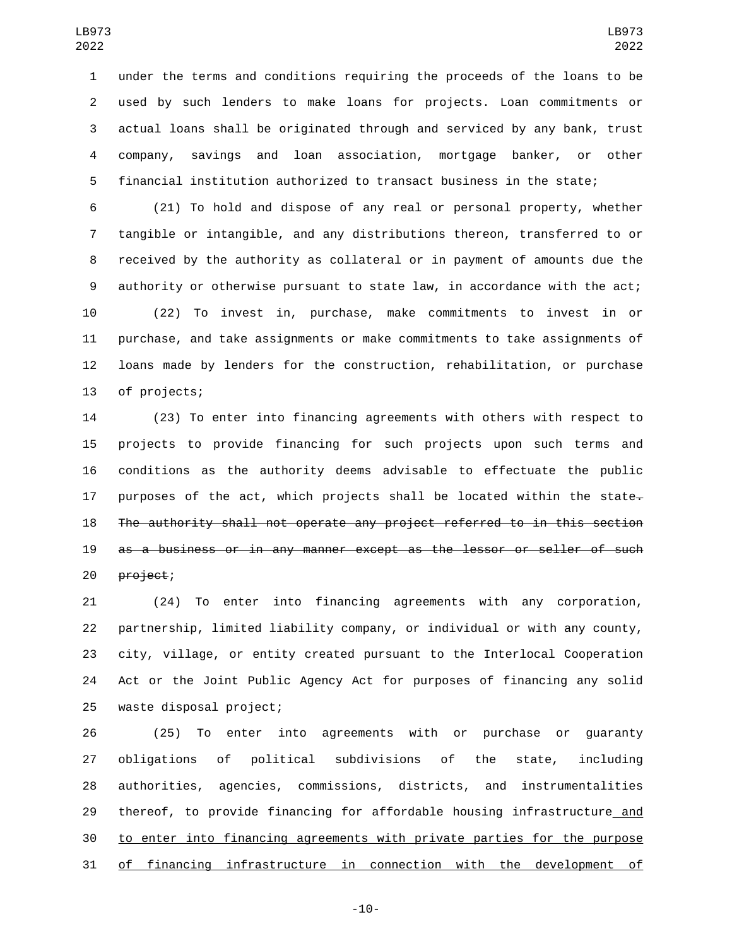under the terms and conditions requiring the proceeds of the loans to be used by such lenders to make loans for projects. Loan commitments or actual loans shall be originated through and serviced by any bank, trust company, savings and loan association, mortgage banker, or other financial institution authorized to transact business in the state;

 (21) To hold and dispose of any real or personal property, whether tangible or intangible, and any distributions thereon, transferred to or received by the authority as collateral or in payment of amounts due the authority or otherwise pursuant to state law, in accordance with the act; (22) To invest in, purchase, make commitments to invest in or purchase, and take assignments or make commitments to take assignments of loans made by lenders for the construction, rehabilitation, or purchase 13 of projects;

 (23) To enter into financing agreements with others with respect to projects to provide financing for such projects upon such terms and conditions as the authority deems advisable to effectuate the public 17 purposes of the act, which projects shall be located within the state $\overline{z}$  The authority shall not operate any project referred to in this section as a business or in any manner except as the lessor or seller of such 20 project;

 (24) To enter into financing agreements with any corporation, partnership, limited liability company, or individual or with any county, city, village, or entity created pursuant to the Interlocal Cooperation Act or the Joint Public Agency Act for purposes of financing any solid 25 waste disposal project;

 (25) To enter into agreements with or purchase or guaranty obligations of political subdivisions of the state, including authorities, agencies, commissions, districts, and instrumentalities 29 thereof, to provide financing for affordable housing infrastructure\_and to enter into financing agreements with private parties for the purpose of financing infrastructure in connection with the development of

-10-